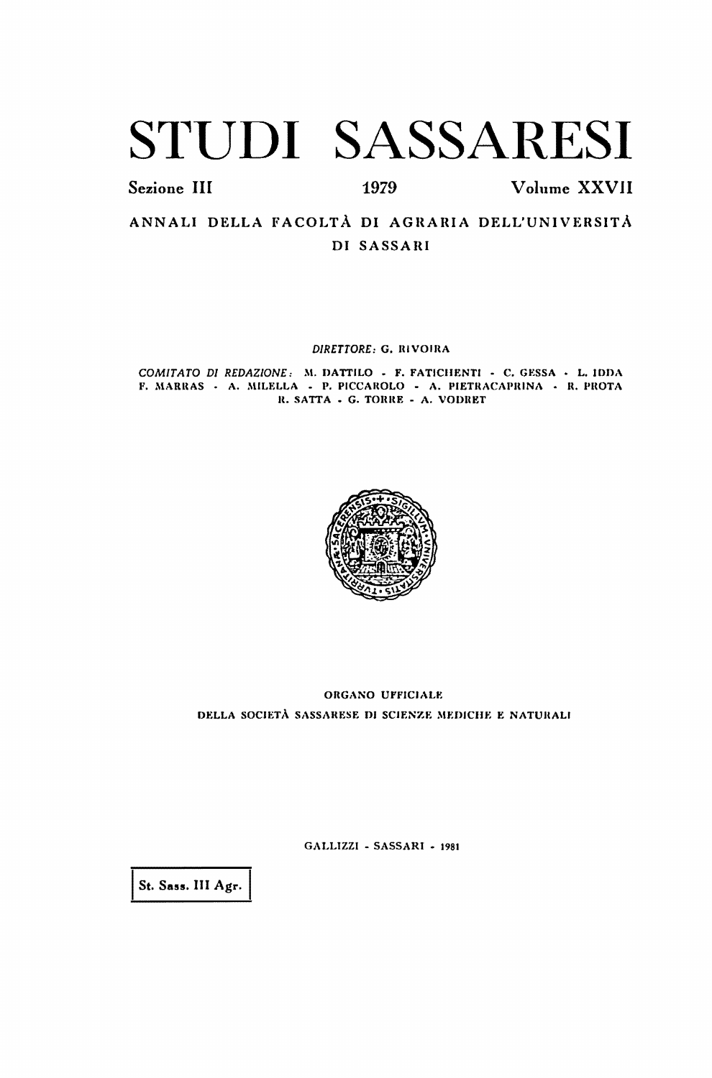# STUDI SASSARESI

Sezione III

1979

Volume XXVII

ANNALI DELLA FACOLTÀ DI AGRARIA DELL'UNIVERSITÀ DI SASSARI

DIRETTORE: G. RIVOIRA

COMITATO DI REDAZIONE: M. DATTILO - F. FATICHENTI - C. GESSA - L. IDDA F. MARRAS - A. MILELLA - P. PICCAROLO - A. PIETRACAPRINA - R. PROTA R. SATTA - G. TORRE - A. VODRET



ORGANO UFFICIALE DELLA SOCIETÀ SASSARESE DI SCIENZE MEDICHE E NATURALI

GALLIZZI - SASSARI - 1981

St. Sass. III Agr.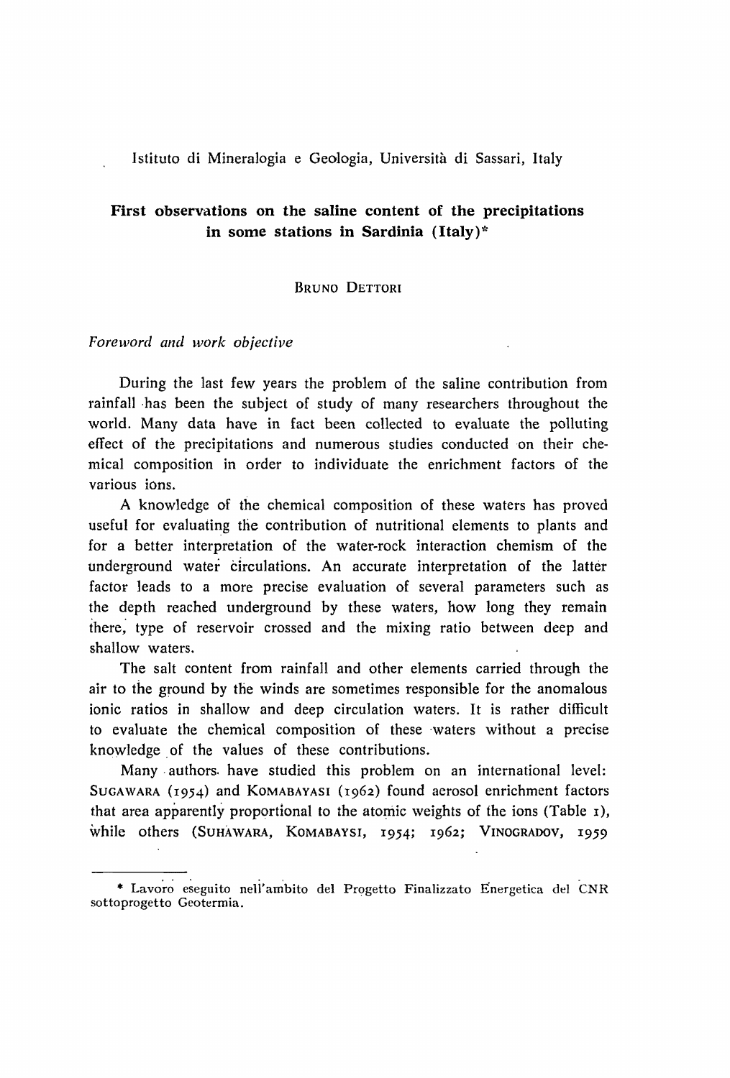Istituto di Mineralogia e Geologia, Università di Sassari, Italy

## First observations on the saline content of the precipitations in some stations in Sardinia  $(Italy)^*$

#### BRUNO DETTORI

### *Foreword and work objective*

During the last few years the problem of the saline contribution from rainfall has been the subject of study of many researchers throughout the world. Many data have in faet been eollected to evaluate the polluting effect of the precipitations and numerous studies conducted on their chemica} composition in order to individuate the enrichment factors of the various ions.

A knowledge of the ehemical eomposition of these waters has proved useful for evaluaiing the eontribution of nutritional elements to plants and for a better interpretation of the water-roek interaction ehemism of the underground water circulations. An accurate interpretation of the latter factor leads to a more precise evaluation of several parameters such as the depth reached underground by these waters, how long they remain ihere; type of reservoir crossed and the mixing ratio between deep and shallow waters.

The salt content from rainfall and other elements earried through the air to the ground by the winds are sometimes responsible for the anomalous ionic ratios in shallow and deep circulation waters. It is rather difficult to evaluate the chemical composition of these 'waters without a precise knowledge of the values of these contributions.

Many authors have studied this problem on an international level: SUGAWARA (1954) and KOMABAYASI (1962) found aerosol enrichment factors that area apparently proportional to the atomic weights of the ions (Table  $\bar{I}$ ), while others (SUHAWARA, KOMABAYSI, 1954; 1962; VINOGRADOV, 1959

<sup>\*</sup> Lavoro eseguito nell'ambito del Progetto Finalizzato Energetica del CNR sottoprogetto Geotermia.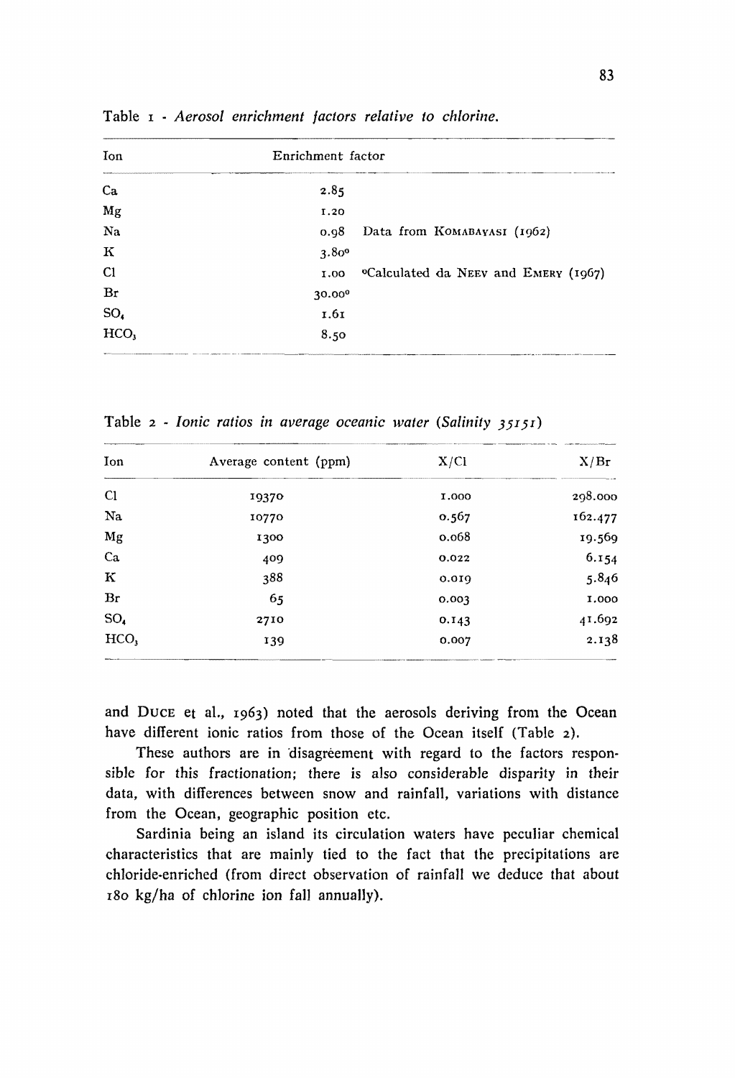| Enrichment factor |                                                  |  |  |  |  |  |  |  |  |
|-------------------|--------------------------------------------------|--|--|--|--|--|--|--|--|
| 2.85              |                                                  |  |  |  |  |  |  |  |  |
| 1.20              |                                                  |  |  |  |  |  |  |  |  |
| 0.98              | Data from KOMABAYASI (1962)                      |  |  |  |  |  |  |  |  |
| 3.80°             |                                                  |  |  |  |  |  |  |  |  |
| 1.00              | <sup>o</sup> Calculated da NEEV and EMERY (1967) |  |  |  |  |  |  |  |  |
| 30.000            |                                                  |  |  |  |  |  |  |  |  |
| 1.61              |                                                  |  |  |  |  |  |  |  |  |
| 8.50              |                                                  |  |  |  |  |  |  |  |  |
|                   |                                                  |  |  |  |  |  |  |  |  |

Table 1 - *Aerosol enrichment factors relative lo chlorine.* 

| Ion                                   | Average content (ppm) | X/C1  | X/Br    |
|---------------------------------------|-----------------------|-------|---------|
| <sup>C1</sup>                         | 19370                 | 1,000 | 298.000 |
| Na                                    | 10770                 | 0.567 | 162.477 |
| Mg                                    | 1300                  | 0.068 | 19.569  |
| Ca                                    | 409                   | 0.022 | 6.154   |
| $\bf K$                               | 388                   | 0.019 | 5.846   |
| Br                                    | 65                    | 0.003 | 1.000   |
| $SO_{4}$                              | 2710                  | 0.143 | 41.692  |
| HCO,<br><b>CONTINUES OF CONTINUES</b> | 139                   | 0.007 | 2.138   |

Table 2 - *lonic ratios in average oceanic water (Salinity 35151)* 

and DUCE et al., 1963) noted that the aerosols deriving from the Ocean have different ionic ratios from those of the Ocean itself (Table 2).

These authors are in disagreement with regard to the factors responsible for this fractionation; there is a150 considerable disparity in their data, with differences between snow and rainfall, variations with distance from the Ocean, geographic position etc.

Sardinia being an island its circulation waters have peculiar chemical characteristics that are mainly tied to the fact that the precipitations are chloride-enriched (from direct observation of rainfall we deduce that about 180 kg/ha of chlorine ion falI annually).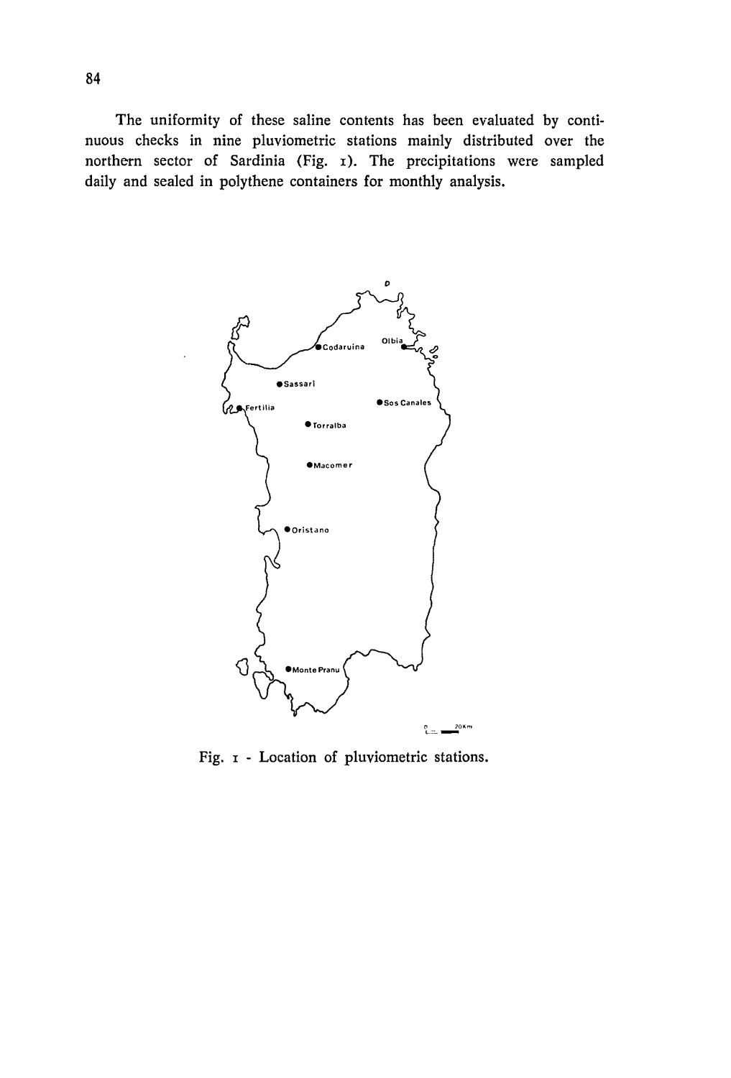The uniformity of these saline contents has been evaluated by continuous checks in nine pluviometric stations mainly distributed over the northern sector of Sardinia (Fig. I). The precipitations were sampled daily and sealed in polythene containers for monthly analysis.



Fig. 1 - Location of pluviometric stations.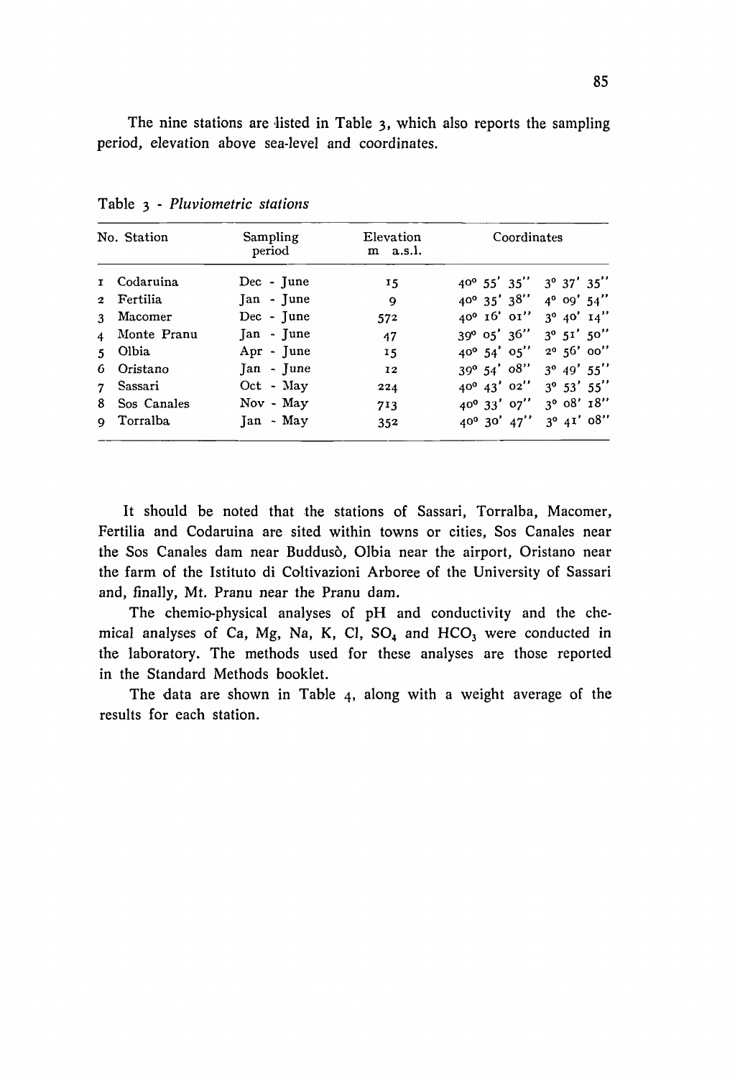The nine stations are listed in Table  $3$ , which also reports the sampling period, elevation above sea-Ievel and coordinates.

|       | No. Station   | Sampling<br>period | Elevation<br>$m$ a.s.l. | Coordinates                                        |                      |  |  |  |
|-------|---------------|--------------------|-------------------------|----------------------------------------------------|----------------------|--|--|--|
|       | 1 Codaruina   | $Dec - June$       | 15                      | $40^{\circ}$ 55' 35'' 3° 37' 35''                  |                      |  |  |  |
|       | 2 Fertilia    | Jan - June         | $\mathbf{Q}$            | $40^{\circ}$ 35' 38'' $4^{\circ}$ 09' 54"          |                      |  |  |  |
|       | 3 Macomer     | Dec - June         | 572                     | 40° 16' 01'' 3° 40' 14"                            |                      |  |  |  |
|       | 4 Monte Pranu | $Jan - June$       | 47                      | $39^{\circ}$ 05' $36''$ $3^{\circ}$ 51' 50"        |                      |  |  |  |
| $5 -$ | Olbia         | Apr - June         | 15                      | $40^{\circ}$ 54' 05''                              | $2^0$ 56' 00"        |  |  |  |
| 6     | Oristano      | $Jan - June$       | 12                      | $39^{\circ}$ 54' $08''$                            | $3^{\circ}$ 49' 55'' |  |  |  |
|       | 7 Sassari     | Oct - May          | 224                     | $40^{\circ}$ $43'$ $02''$ $3^{\circ}$ $53'$ $55''$ |                      |  |  |  |
| 8     | Sos Canales   | Nov - May          | 713                     | $40^{\circ}$ 33' 07'' 3° 08' 18"                   |                      |  |  |  |
|       | 9 Torralba    | Jan - May          | 352                     | $40^{\circ}$ 30' $47'$ ' 3 <sup>o</sup> $41'$ 08"  |                      |  |  |  |

Table 3 - *Pluviometric stations* 

It should be noted that the stations of Sassari, Torralba, Macomer, Fertilia and Codaruina are sited within towns or cities, Sos Canales near the Sos Canales dam near Buddusò, Olbia near the airport, Oristano near the farm of the Istituto di Coltivazioni Arboree of the University of Sassari and, final1y, Mt. Pranu near the Pranu dam.

The chemio-physical analyses of pH and conductivity and the chemical analyses of Ca, Mg, Na, K, Cl,  $SO<sub>4</sub>$  and  $HCO<sub>3</sub>$  were conducted in the laboratory. The methods used for these analyses are those reported in the Standard Methods booklet.

The data are shown in Table 4. along with a weight average of the results for each station.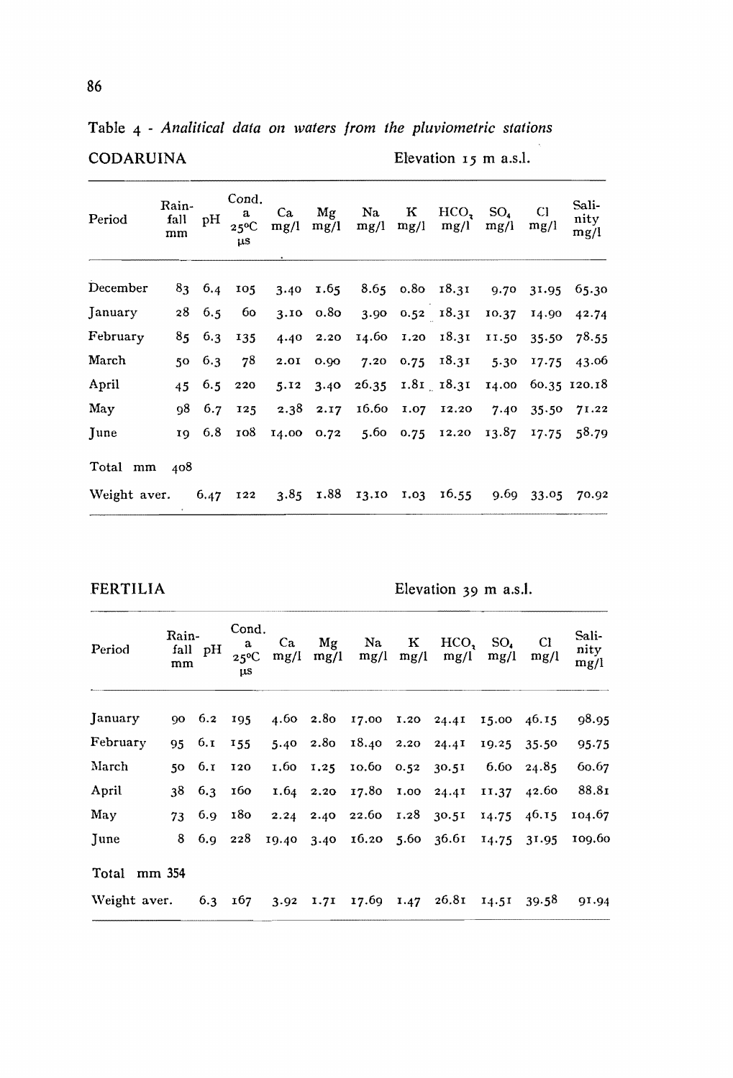Table 4 - *Analitical data on waters from the pluviometric stations* CODARUINA Elevation 15 m a.s.l.

| Period       | Rain-<br>fall<br>mm | pН     | Cond.<br>a<br>$25^{\circ}$ C<br>μS | Ca<br>mg/l | Mg<br>mg/l        | Na.<br>mg/l               | ĸ<br>mg/l | HCO.<br>mg/l     | $SO_{4}$<br>mg/l | Cl<br>mg/l | Sali-<br>nity<br>mg/l |
|--------------|---------------------|--------|------------------------------------|------------|-------------------|---------------------------|-----------|------------------|------------------|------------|-----------------------|
| December     |                     | 83 6.4 | 105                                |            |                   | 3.40 1.65 8.65 0.80 18.31 |           |                  |                  | 9.70 31.95 | 65.30                 |
| January      | 28                  | 6.5    | 60                                 |            | $3.10 \quad 0.80$ | 3.90 0.52 18.31           |           |                  | 10.37            | 14.90      | 42.74                 |
| February     | 85.                 | 6.3    | 135                                | 4.40       | 2.20              |                           |           | 14.60 1.20 18.31 | 11.50            | 35.50      | 78.55                 |
| March        | 50                  | 6.3    | 78                                 | 2.01       | 0.90              | 7.20                      | 0.75      | 18.31            | 5.30             | 17.75      | 43.06                 |
| April        | 45                  |        | $6.5$ 220                          | 5.12       | 3.40              |                           |           | 26.35 1.81 18.31 | 14.00            |            | 60.35 120.18          |
| May          | 98                  | 6.7    | 125                                | 2.38       | 2.17              |                           |           | 16.60 1.07 12.20 | 7.40             |            | 35.50 71.22           |
| June         | 19                  | 6.8    | 108                                |            |                   | 14.00 0.72 5.60           |           | 0.75 12.20       | 13.87            |            | 17.75 58.79           |
| Total mm     | 408                 |        |                                    |            |                   |                           |           |                  |                  |            |                       |
| Weight aver. |                     | 6.47   | 122                                |            | $3.85$ $1.88$     | 13.10                     | 1.03      | 16.55            | 9.69             | 33.05      | 70.92                 |

FERTILIA Elevation 39 m a.s.l.

| Period                       | Rain-<br>mm | fall pH    | Cond.<br>a<br>$25^{\circ}C$<br>μS | Ca<br>mg/l | Mg<br>mg/l | Na<br>mg/l                 | к<br>mg/l | HCO,<br>mg/l                | SO.<br>mg/l | СI<br>mg/l  | Sali-<br>nity<br>mg/l |
|------------------------------|-------------|------------|-----------------------------------|------------|------------|----------------------------|-----------|-----------------------------|-------------|-------------|-----------------------|
| January                      |             | 90 6.2 195 |                                   |            |            |                            |           | 4.60 2.80 17.00 1.20 24.41  | 15.00 46.15 |             | 98.95                 |
| February                     | 95          | 6. I       | 155                               |            |            | 5.40 2.80 18.40 2.20 24.41 |           |                             | 19.25       | 35.50       | 95.75                 |
| March                        |             | 50 6.1 120 |                                   |            |            | 1.60 1.25 10.60 0.52 30.51 |           |                             | 6.60        | 24.85       | 60.67                 |
| April                        | 38          | 6.3        | 160                               |            |            | 1.64 2.20 17.80 1.00 24.41 |           |                             | 11.37       | 42.60       | 88.81                 |
| May                          | 73          |            | $6.9$ 180                         |            |            | 2.24 2.40 22.60 1.28 30.51 |           |                             | 14.75       | 46.15       | 104.67                |
| June                         | 8           |            | $6.9$ 228                         |            |            |                            |           | 19.40 3.40 16.20 5.60 36.61 |             | 14.75 31.95 | 109.60                |
| Total mm 354                 |             |            |                                   |            |            |                            |           |                             |             |             |                       |
| Weight aver. $6.3 \quad 167$ |             |            |                                   | 3.92       |            |                            |           | 1.71 17.69 1.47 26.81       | 14.51 39.58 |             | 91.94                 |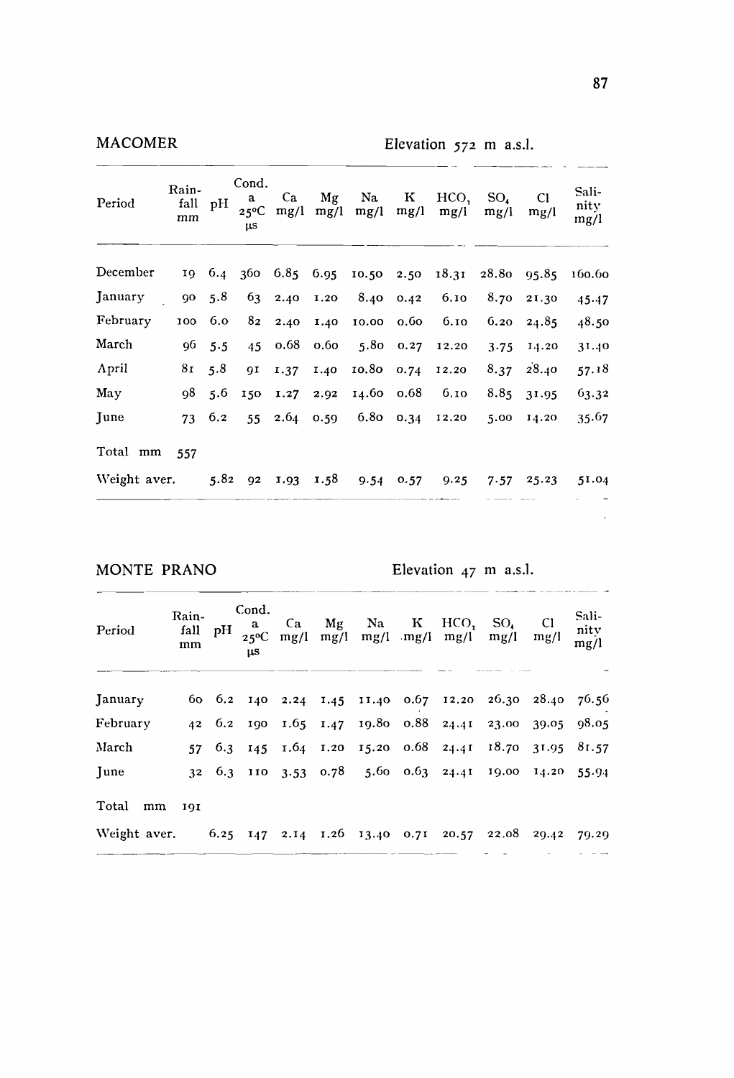| MACOMER      |                     |      |                                           |            |            | Elevation $572$ m a.s.l. |           |              |                  |            |                                 |  |
|--------------|---------------------|------|-------------------------------------------|------------|------------|--------------------------|-----------|--------------|------------------|------------|---------------------------------|--|
| Period       | Rain-<br>fall<br>mm | pН   | Cond.<br>a<br>$25^{\circ}$ C<br><b>US</b> | Ca<br>mg/l | Mg<br>mg/l | Na<br>mg/l               | к<br>mg/l | HCO,<br>mg/l | $SO_{4}$<br>mg/l | C1<br>mg/l | Sali-<br>nity<br>$\frac{mg}{l}$ |  |
| December     | 19                  | 6.4  | 360                                       | 6.85       | 6.95       | 10.50                    | 2.50      | 18.31        | 28.80            | 95.85      | 160.60                          |  |
| January      | 90                  | 5.8  | 63                                        | 2.40       | 1.20       | 8.40                     | 0.42      | 6.10         | 8.70             | 21.30      | 45.47                           |  |
| February     | 100                 | 6.0  | 82                                        | 2.40       | 1.40       | 10.00                    | 0.60      | 6.10         | 6.20             | 24.85      | 48.50                           |  |
| March        | 96                  | 5.5  | 45                                        | 0.68       | 0.60       | 5.80                     | 0.27      | 12.20        | 3.75             | 14.20      | 31.40                           |  |
| April        | 81                  | 5.8  | <b>QI</b>                                 | 1.37       | 1.40       | 10.80                    | 0.74      | 12.20        | 8.37             | 28.40      | 57.18                           |  |
| May          | 98                  | 5.6  | 150                                       | 1.27       | 2.92       | 14.60                    | 0.68      | 6.10         | 8.85             | 31.95      | 63.32                           |  |
| June         | 73                  | 6.2  | 55                                        | 2.64       | 0.59       | 6.80                     | 0.34      | 12.20        | 5.00             | 14.20      | 35.67                           |  |
| Total mm     | 557                 |      |                                           |            |            |                          |           |              |                  |            |                                 |  |
| Weight aver. |                     | 5.82 | 92                                        | $1.93 -$   | 1.58       | 9.54                     | 0.57      | 9.25         | 7.57             | 25.23      | 51.04                           |  |
|              |                     |      |                                           |            |            |                          |           |              |                  |            |                                 |  |

**MONTE PRANO** Elevation 47 m a.s.l.

| Period                                                             | Rain-<br>mm | Cond.<br>- a<br>us |  | Ca Mg Na K | $HCO$ , $SO4$<br>fall pH $_{25^{\circ}C}$ mg/l mg/l mg/l mg/l mg/l mg/l | C1<br>mg/l | Sali-<br>nity<br>mg/l |
|--------------------------------------------------------------------|-------------|--------------------|--|------------|-------------------------------------------------------------------------|------------|-----------------------|
| January                                                            |             |                    |  |            | 60 6.2 140 2.24 1.45 11.40 0.67 12.20 26.30 28.40 76.56                 |            |                       |
| February                                                           |             |                    |  |            | 42 6.2 190 1.65 1.47 19.80 0.88 24.41 23.00 39.05 98.05                 |            |                       |
| March                                                              | 57          |                    |  |            | 6.3 145 1.64 1.20 15.20 0.68 24.41 18.70 31.95 81.57                    |            |                       |
| June                                                               |             |                    |  |            | 32 6.3 110 3.53 0.78 5.60 0.63 24.41 19.00 14.20 55.94                  |            |                       |
| Total<br>mm                                                        | 191         |                    |  |            |                                                                         |            |                       |
| Weight aver. 6.25 147 2.14 1.26 13.40 0.71 20.57 22.08 29.42 79.29 |             |                    |  |            |                                                                         |            |                       |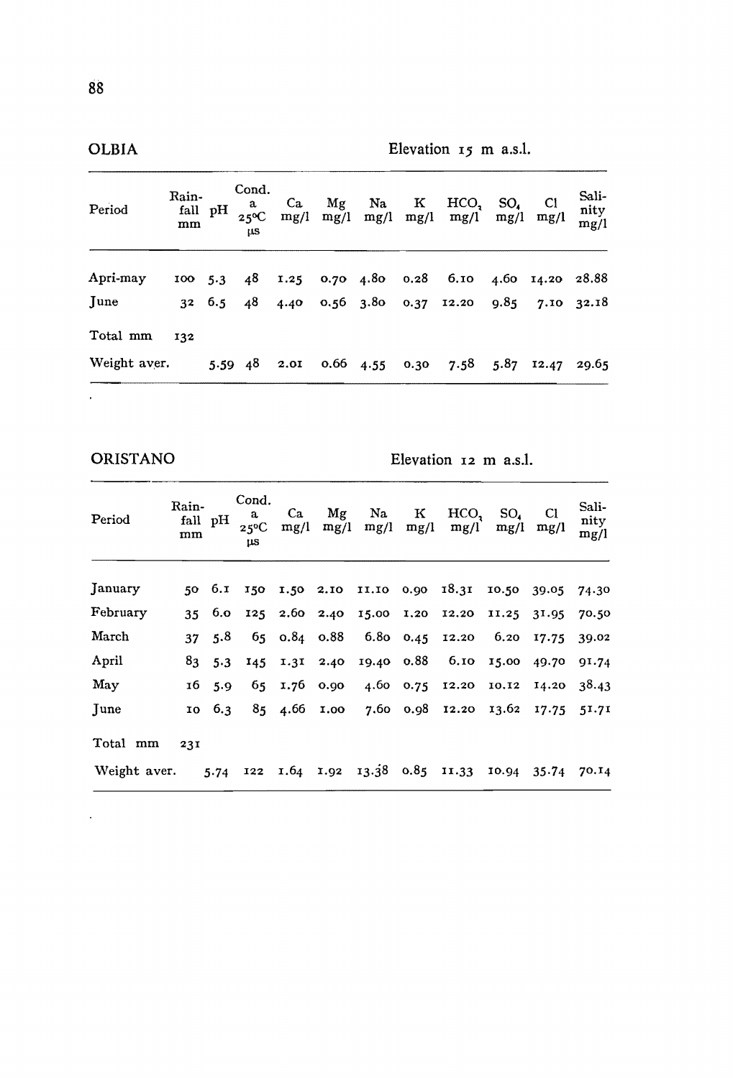| Period       | Rain-<br>mm | fall pH       | Cond.<br>a<br>$25^{\circ}C$<br><b>US</b> | Ca<br>mg/l | Mg | Na                          | $\mathbf{K}$ | HCO.<br>$mg/l$ mg/l mg/l mg/l mg/l           | SO <sub>4</sub> | C1<br>mg/l       | Sali-<br>nity<br>mg/l |
|--------------|-------------|---------------|------------------------------------------|------------|----|-----------------------------|--------------|----------------------------------------------|-----------------|------------------|-----------------------|
| Apri-may     | 100, 5.3    |               |                                          |            |    |                             |              | 48 1.25 0.70 4.80 0.28 6.10                  |                 | 4.60 14.20 28.88 |                       |
| June         |             | $32\quad 6.5$ |                                          |            |    |                             |              | 48 4.40 0.56 3.80 0.37 12.20 9.85 7.10 32.18 |                 |                  |                       |
| Total mm     | 132         |               |                                          |            |    |                             |              |                                              |                 |                  |                       |
| Weight aver. |             |               |                                          |            |    | 5.59 48 2.01 0.66 4.55 0.30 |              | 7.58                                         | 5.87            | 12.47 29.65      |                       |
| ٠            |             |               |                                          |            |    |                             |              |                                              |                 |                  |                       |

 $\overline{a}$ 

 $\ddot{\phantom{a}}$ 

ORISTANO Elevation 12 m a.s.I.

| Period       | Rain-<br>mm | fall pH       | Cond.<br>a<br>$25^{\circ}$ C<br>μs | Ca<br>mg/l                 | Mg<br>mg/l   | Na.<br>mg/l     | к<br>mg/l  | HCO,<br>mg/l                                            | SO.<br>mg/l     | Cl<br>mg/l      | Sali-<br>nity<br>mg/l |
|--------------|-------------|---------------|------------------------------------|----------------------------|--------------|-----------------|------------|---------------------------------------------------------|-----------------|-----------------|-----------------------|
| January      |             |               |                                    |                            |              |                 |            | 50 6.1 150 1.50 2.10 11.10 0.90 18.31 10.50 39.05 74.30 |                 |                 |                       |
| February     |             | $35\quad 6.0$ |                                    |                            |              |                 |            | 125 2.60 2.40 15.00 1.20 12.20                          | $11.25$ $31.95$ |                 | 70.50                 |
| March        | 37          | 5.8           |                                    | $65 \quad 0.84 \quad 0.88$ |              | 6.80 0.45 12.20 |            |                                                         |                 | 6.20 17.75      | 39.02                 |
| April        | 83          | 5.3           |                                    | $145$ $1.31$               | 2.40         | 19.40 0.88      |            | 6.10 15.00                                              |                 | 49.70           | 91.74                 |
| May          | 16          | 5.9           |                                    | 65 1.76 0.90               |              |                 |            | 4.60 0.75 12.20 10.12                                   |                 | 14.20           | 38.43                 |
| June         | 10          | 6.3           |                                    |                            | 85 4.66 1.00 |                 |            | 7.60 0.98 12.20 13.62                                   |                 | 17.75           | 51.71                 |
| Total mm     | 231         |               |                                    |                            |              |                 |            |                                                         |                 |                 |                       |
| Weight aver. |             | 5.74          | 122                                |                            | 1.64 1.92    | 13.38           | 0.85 11.33 |                                                         |                 | $10.94$ $35.74$ | 70.14                 |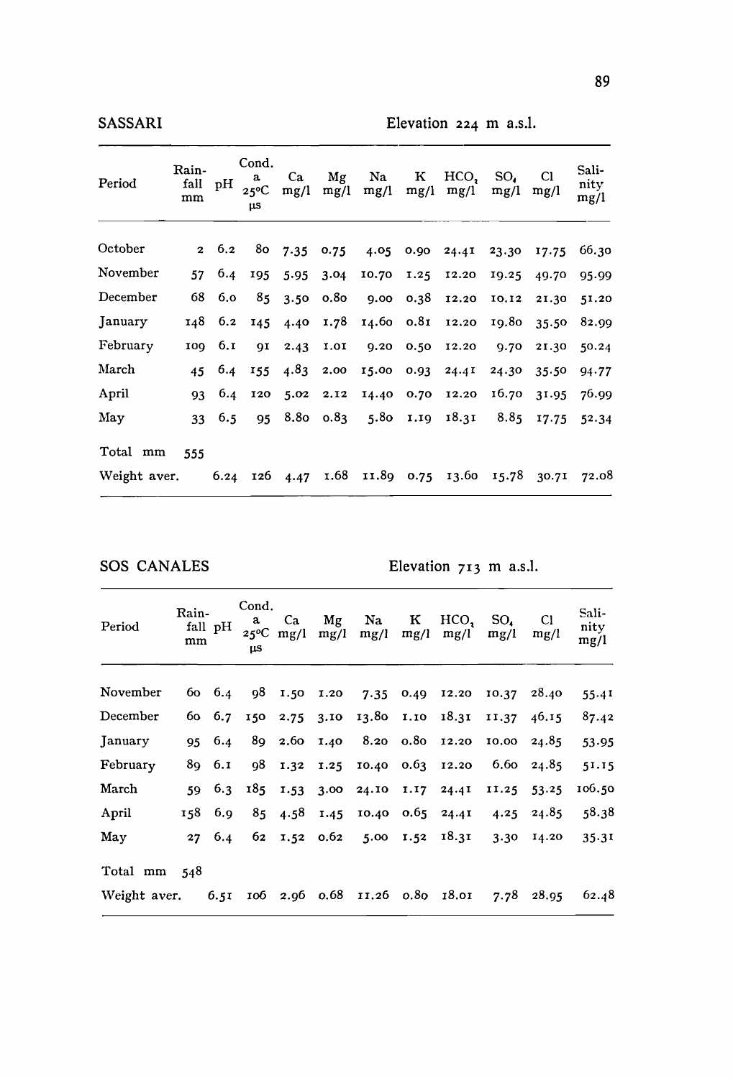| Period       | Rain-<br>fall<br>mm | pН   | Cond.<br>a<br>$25^{\circ}$ C<br>μS | Ca<br>mg/l | Μg<br>mg/l       | Na.<br>mg/l    | ĸ<br>mg/l | HCO,<br>mg/l | SO.<br>mg/l | CI<br>mg/l | Sali-<br>nity<br>mg/l |
|--------------|---------------------|------|------------------------------------|------------|------------------|----------------|-----------|--------------|-------------|------------|-----------------------|
| October      | $\mathbf{z}$        | 6.2  |                                    | 80, 7.35   | 0.75             | 4.05           | 0.90      | 24.41        | 23.30       | 17.75      | 66.30                 |
| November     | 57                  | 6.4  | 195                                | 5.95       | 3.04             | 10.70          | 1.25      | 12.20        | 19.25       | 49.70      | 95.99                 |
| December     | 68                  | 6,0  | 85                                 | 3.50       | 0.8 <sub>0</sub> | 9.00           | 0.38      | 12.20        | 10.12       | 21.30      | 51.20                 |
| January      | 148                 | 6.2  | 145                                | 4.40       | 1.78             | $14.60$ $0.81$ |           | 12.20        | 19.80       | 35.50      | 82.99                 |
| February     | 100                 | 6.r  | QI                                 | 2.43       | 1.01             | 9.20           | 0.50      | 12.20        | 9.70        | 21.30      | 50.24                 |
| March        | 45                  | 6.4  | 155                                | 4.83       | 2.00             | 15.00          | 0.93      | 24.4I        | 24.30       | 35.50      | 94.77                 |
| April        | 93                  | 6.4  | 120                                | 5.02       | 2.12             | 14.40          | 0.70      | 12.20        | 16.70       | 31.95      | 76.99                 |
| May          | 33                  | 6.5  | 95                                 | 8.80       | 0.83             | 5.80           | 1.19      | 18.31        | 8.85        | 17.75      | 52.34                 |
| Total mm     | 555                 |      |                                    |            |                  |                |           |              |             |            |                       |
| Weight aver. |                     | 6.24 | 126                                | 4.47       | 1.68             | II.89 0.75     |           | 13.60        | 15.78       | 30.71      | 72.08                 |

SOS CANALES Elevation 713 m a.s.l.

| Period                                           | Rain-<br>mm | fall pH | Cond.<br>a<br>μS | Ca<br>$25^{\circ}$ C mg/l | Mg<br>mg/l | Na<br>mg/l                     | K<br>mg/l | HCO.<br>mg/l                   | $SO_{4}$<br>mg/l | Cl<br>mg/l  | Sali-<br>nity<br>mg/l |
|--------------------------------------------------|-------------|---------|------------------|---------------------------|------------|--------------------------------|-----------|--------------------------------|------------------|-------------|-----------------------|
| November                                         |             | 60 6.4  |                  |                           |            |                                |           | 98 1.50 1.20 7.35 0.49 12.20   |                  | 10.37 28.40 | 55.41                 |
| December                                         |             | 60 6.7  |                  |                           |            |                                |           | 150 2.75 3.10 13.80 1.10 18.31 | 11.37            | 46.15       | 87.42                 |
| January                                          | 95          | 6.4     |                  |                           |            |                                |           | 89 2.60 1.40 8.20 0.80 12.20   | 10.00            | 24.85       | 53.95                 |
| February                                         |             | 89, 6.1 | 98               |                           |            | 1.32 1.25 10.40                |           | $0.63$ 12.20                   | 6.60             | 24.85       | 51.15                 |
| March                                            | 59.         | 6.3     |                  |                           |            | 185 1.53 3.00 24.10 1.17 24.41 |           |                                | 11.25            | 53.25       | 106.50                |
| April                                            |             | 158 6.9 |                  | 85 4.58                   |            | 1.45 10.40                     |           | $0.65$ 24.41                   | 4.25             | 24.85       | 58.38                 |
| May                                              | 27          | 6.4     |                  |                           |            |                                |           | 62 1.52 0.62 5.00 1.52 18.31   |                  | 3.30 14.20  | 35.31                 |
| Total mm                                         | - 548       |         |                  |                           |            |                                |           |                                |                  |             |                       |
| Weight aver. 6.51 106 2.96 0.68 11.26 0.80 18.01 |             |         |                  |                           |            |                                |           |                                |                  | 7.78 28.95  | 62.48                 |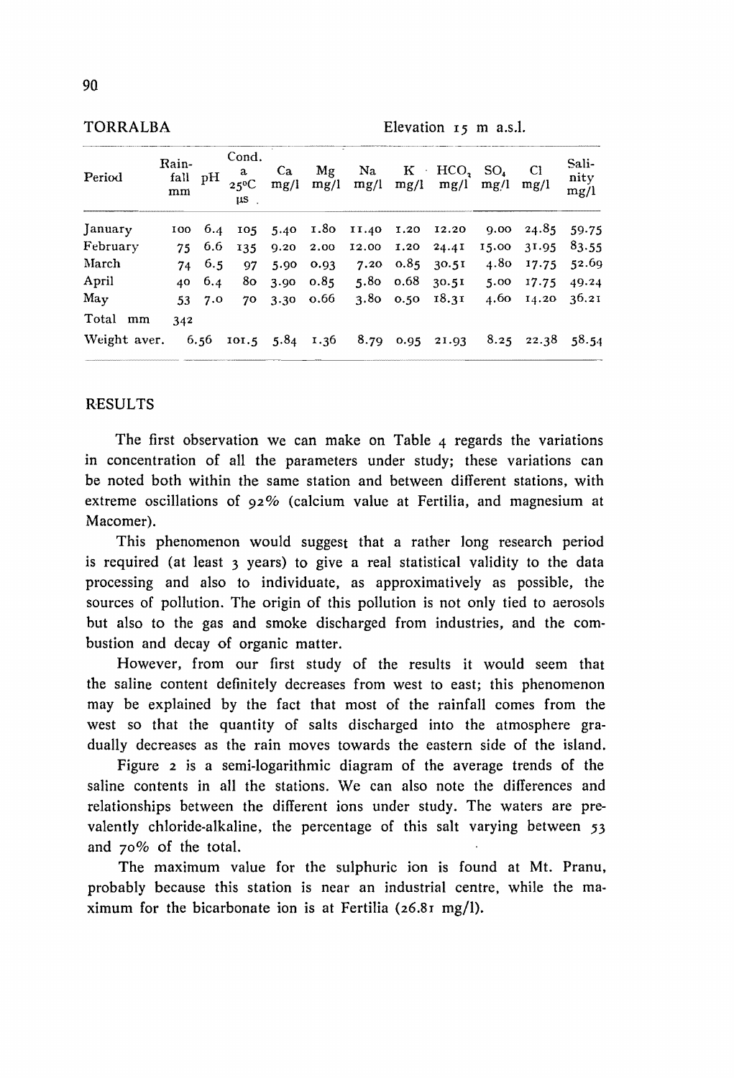| Elevation $r5$ m a.s.l. |  |  |  |  |
|-------------------------|--|--|--|--|
|-------------------------|--|--|--|--|

| Period                  | Rain-<br>fall<br>mm | рH     | Cond.<br>a<br>$25^{\circ}$ C<br>IIS. | Ca.<br>mg/l   | Mg<br>mg/l        | $\rm Na$                               | $\mathbf{K}$     | HCO, SO <sub>4</sub><br>$mg/l$ mg/l mg/l | mg/l  | C1<br>mg/l             | Sali-<br>nity<br>mg/l |
|-------------------------|---------------------|--------|--------------------------------------|---------------|-------------------|----------------------------------------|------------------|------------------------------------------|-------|------------------------|-----------------------|
| January                 |                     |        |                                      |               |                   | 100 6.4 105 5.40 1.80 11.40 1.20 12.20 |                  |                                          | 9.00  |                        | $24.85$ 59.75         |
| February                |                     | 75 6.6 |                                      | 135 9.20 2.00 |                   | 12.00 1.20                             |                  | 24.4I                                    | 15.00 | 31.95                  | 83.55                 |
| March                   | 74                  | 6.5    | 97                                   | 5.90          | 0.93              | 7.20                                   | 0.85             | 30.51                                    | 4.80  | 17.75                  | 52.69                 |
| April                   | 40                  | 6.4    | 80.                                  | 3.90          | 0.85              |                                        | $5.80\quad 0.68$ | 30.5I                                    | 5.00  | 17.75                  | 49.24                 |
| ${\rm M}{\rm a}{\rm v}$ |                     | 53 7.0 | 70                                   |               | $3.30 \quad 0.66$ |                                        | 3.80 0.50        | 18.31                                    |       | 4.60 14.20 36.21       |                       |
| Total<br>mm             | 342                 |        |                                      |               |                   |                                        |                  |                                          |       |                        |                       |
| Weight aver.            |                     | 6.56   | $101.5$ $5.84$ $1.36$                |               |                   |                                        |                  | 8.79 0.95 21.93                          |       | $8.25$ $22.38$ $58.54$ |                       |

#### **RESULTS**

The first observation we can make on Table  $\alpha$  regards the variations in concentration of all the parameters under study; these variations can be noted both within the same station and between different stations, with extreme oscillations of  $92\%$  (calcium value at Fertilia, and magnesium at Macomer).

This phenomenon would suggest that a rather long research period is required (at least 3 years) to give a real statistical validity to the data processing and also to individuate, as approximatively as possible, the sources of pollution. The origin of this pollution is not only tied to aerosols but also to the gas and smoke discharged from industries, and the combustion and decay of organic matter.

However, from our first study of the results it would seem that the saline content definitely decreases from west to east; this phenomenon may be explained by the fact that most of the rainfall comes from the west so that the quantity of salts discharged into the atmosphere gradually decreases as the rain moves towards the eastern side of the island.

Figure 2 is a semi-logarithmic diagram of the average trends of the saline contents in all the stations. We can also note the differences and relationships between the different ions under study. The waters are prevalently chloride-alkaline, the percentage of this salt varying between 53 and 70% of the total.

The maximum value for the sulphuric ion is found at Mt. Pranu, probably because this station is near an industrial centre, while the maximum for the bicarbonate ion is at Fertilia  $(26.81 \text{ mg/l})$ .

**TORRALBA**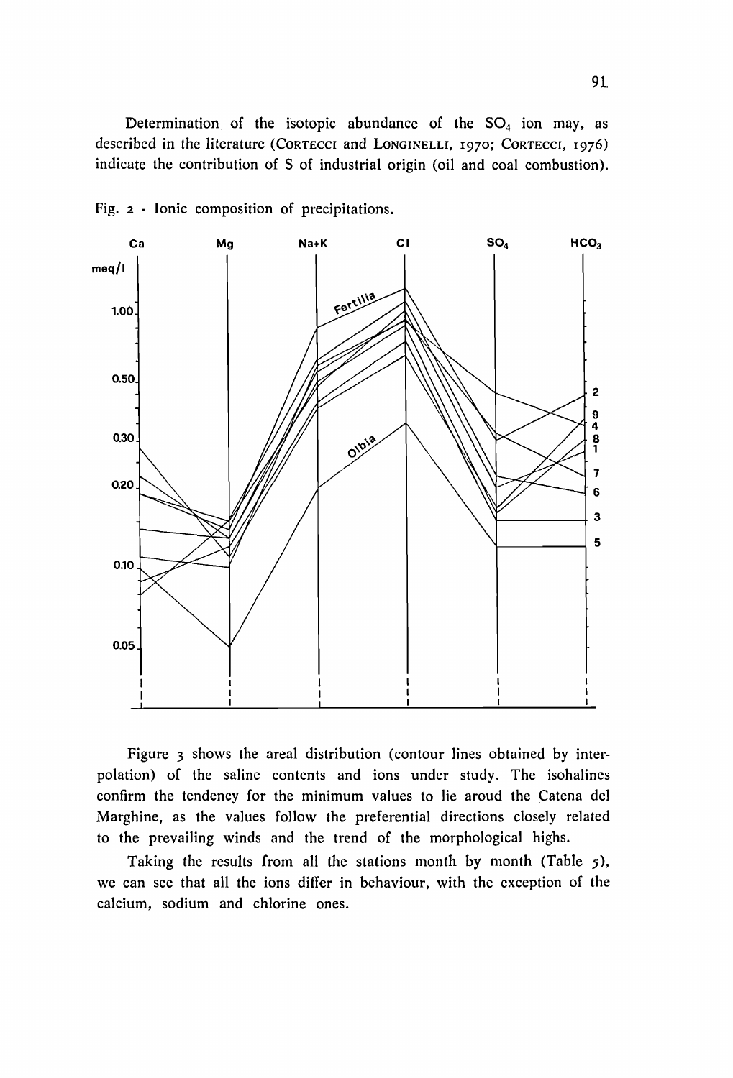Determination of the isotopic abundance of the  $SO<sub>4</sub>$  ion may, as deseribed in the literature (CORTECCI and LONGINELLI, 1970; CORTECCI, 1976) indicate the eontribution of 5 of industriaI origin (oiI and eoal eombustion).



Fig. 2 - Ionie composition of precipitations.

Figure 3 shows the areal distribution (contour lines obtained by interpolation) of the saline eontents and ions under study. The isohalines confirm the tendency for the minimum values to lie aroud the Catena del Marghine, as the values follow the preferential directions closely related to the prevailing winds and the trend of the morphological highs.

Taking the results from all the stations month by month (Table 5), we can see that all the ions differ in behaviour, with the exception of the calcium, sodium and chlorine ones.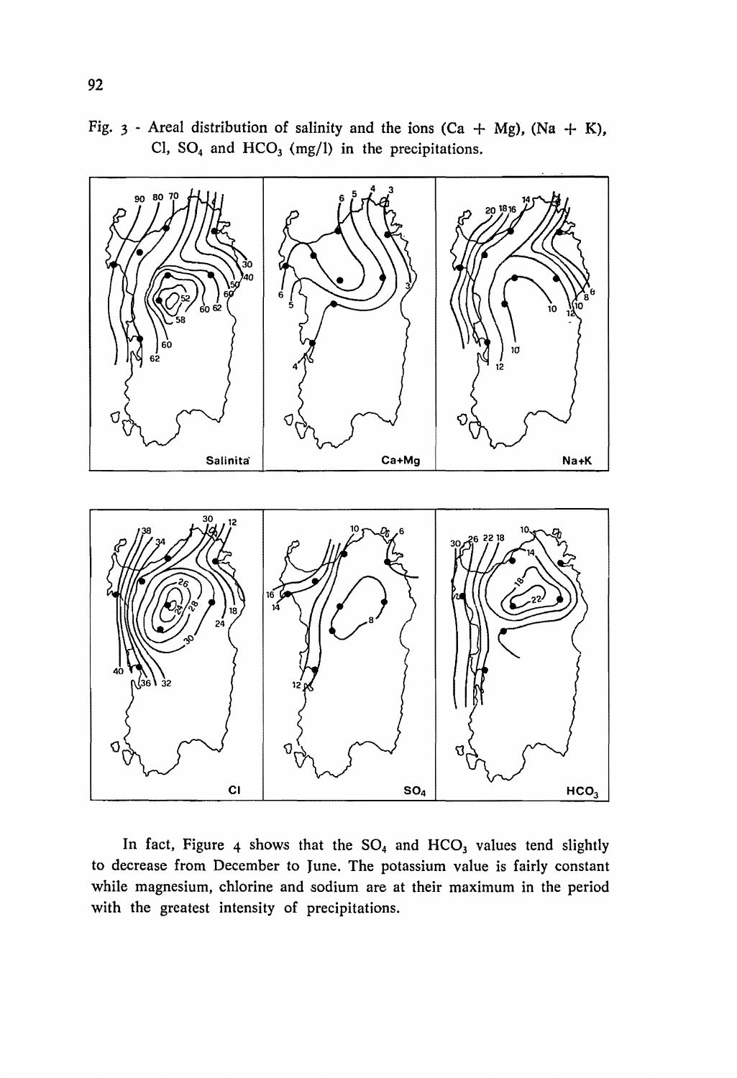Fig. 3 - Areal distribution of salinity and the ions  $(Ca + Mg)$ ,  $(Na + K)$ , Cl,  $SO_4$  and  $HCO_3$  (mg/l) in the precipitations.



In fact, Figure 4 shows that the  $SO_4$  and  $HCO_3$  values tend slightly to decrease from December to June. The potassium value is fairly constant while magnesium, chiorine and sodium are at their maximum in the period with the greatest intensity of precipitations.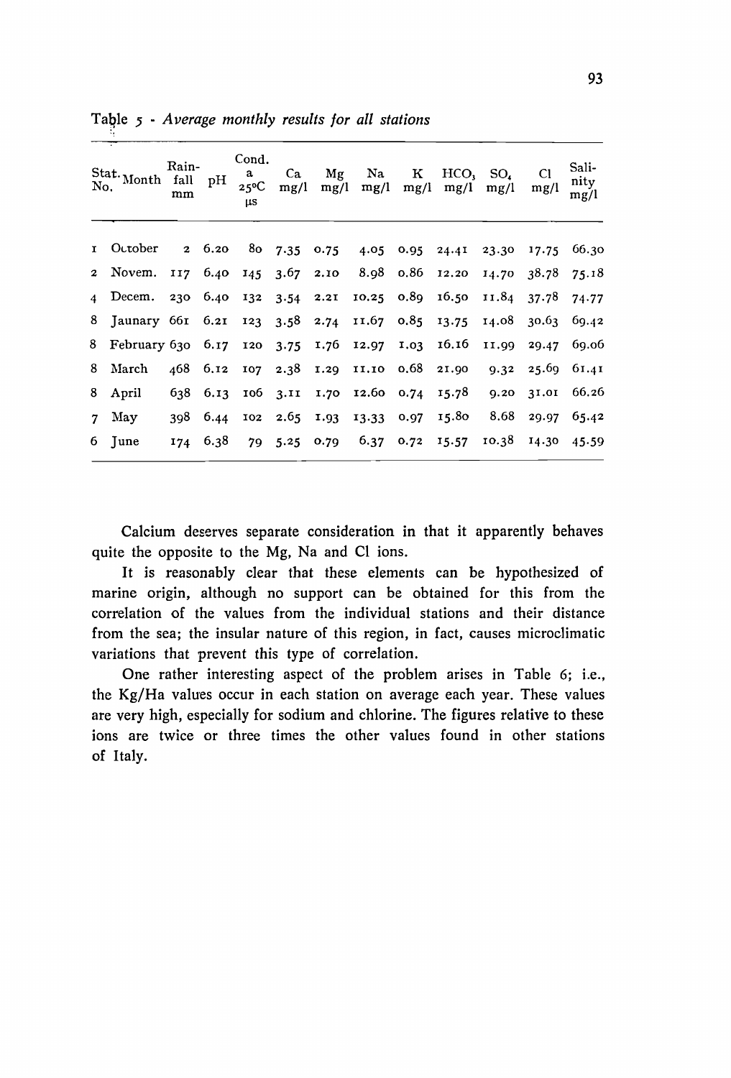| No.            | Stat. Month fall                        | Rain-<br>mm | pН            | Cond.<br>a<br>$25^{\circ}$ C<br>μs | Ca<br>mg/l       | Μg<br>mg/l   | Na<br>mg/l       | к<br>mg/l    | HCO,<br>mg/l | SO.<br>mg/l | C1<br>mg/l | Sali-<br>nity<br>mg/l |
|----------------|-----------------------------------------|-------------|---------------|------------------------------------|------------------|--------------|------------------|--------------|--------------|-------------|------------|-----------------------|
|                | 1 October                               |             | $2\quad 6.20$ |                                    |                  | 80 7.35 0.75 | 4.05             |              | $0.95$ 24.41 | 23.30       | 17.75      | 66.30                 |
| $\mathbf{2}$   | Novem.                                  | II7         | 6.40          |                                    | 145 3.67 2.10    |              | 8.98 o.86        |              | 12.20        | 14.70       | 38.78      | 75.18                 |
| $\overline{4}$ | Decem.                                  | 230         |               | $6.40$ $132$ $3.54$ $2.21$         |                  |              | 10.25 0.89 16.50 |              |              | 11.84       | 37.78      | 74.77                 |
|                | 8 Jaunary 661 6.21 123 3.58 2.74        |             |               |                                    |                  |              | 11.67 0.85 13.75 |              |              | 14.08       | 30.63      | 69.42                 |
|                | 8 February 630 6.17 120 3.75 1.76 12.97 |             |               |                                    |                  |              |                  | $1.03$ 16.16 |              | 11.99       | 29.47      | 69.06                 |
| 8              | March                                   | 468         | 6.12          |                                    | $107 \quad 2.38$ | 1.29 11.10   |                  | 0.68         | 21.90        | 9.32        | 25.69      | 61.41                 |
| 8              | April                                   | 638         | 6.13          |                                    | $106$ $3.11$     | 1.70         | 12.60 0.74       |              | 15.78        | 9.20        | 31.01      | 66.26                 |
| 7              | May                                     | 398         | 6.44          | 102                                | $2.65$ 1.93      |              | 13.33            |              | 0.97 15.80   | 8.68        | 29.97      | 65.42                 |
| 6.             | June                                    | 174         | 6.38          |                                    | 79 5.25          | 0.79         | 6.37             | 0.72         | 15.57        | 10.38       | 14.30      | 45.59                 |

Table 5 - Average monthly results for all stations

Calcium deserves separate consideration in that it apparently behaves quite the opposite to the Mg, Na and Cl ions.

It is reasonably clear that these elements can be hypothesized of marine origin, although no support can be obtained for this from the correlation of the values from the individual stations and their distance from the sea; the insular nature of this region, in fact, causes microclimatic variations that prevent this type of correlation.

One rather interesting aspect of the problem arises in Table 6; i.e., the Kg/Ha values occur in each station on average each year. These values are very high, especially for sodium and chlorine. The figures relative to these ions are twice or three times the other values found in other stations of Italy.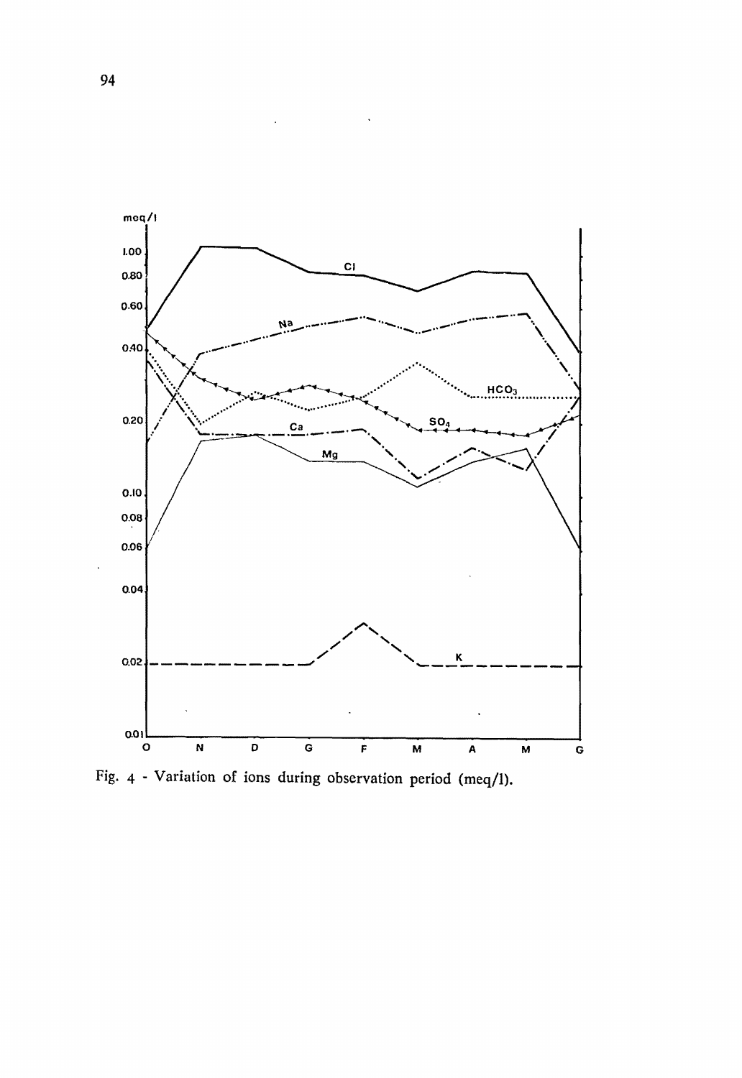

Fig. 4 - Variation of ions during observation period (meq/l).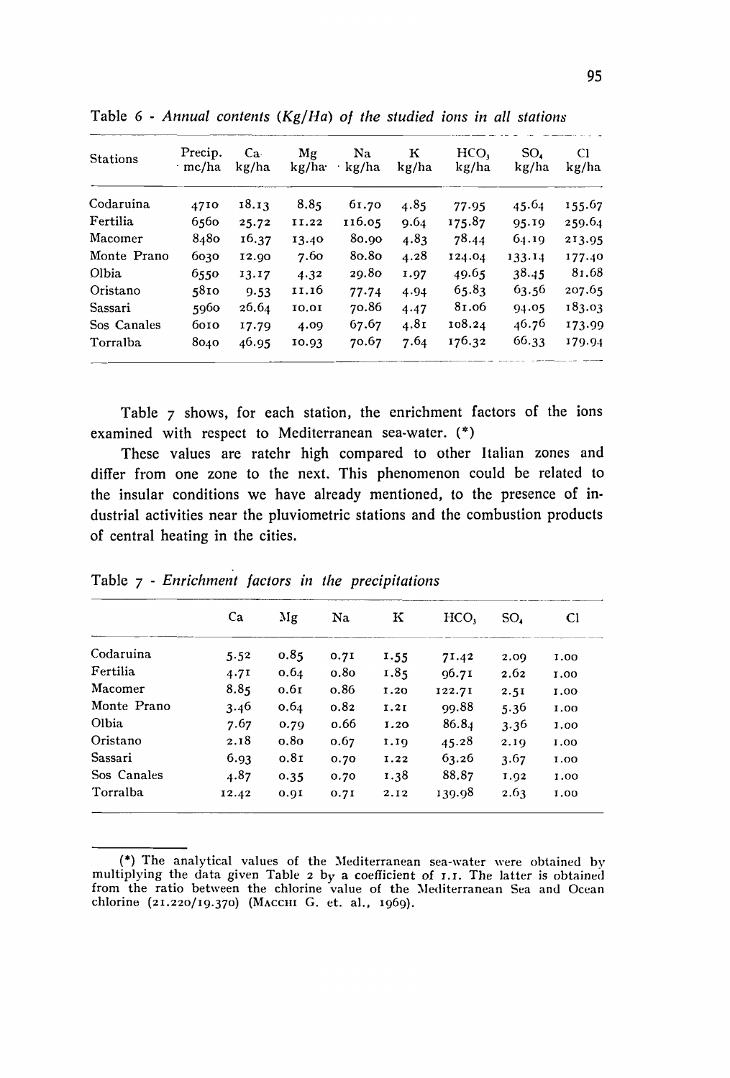| <b>Stations</b> | Precip.<br>∙ mc/ha | Ca <sub>1</sub><br>kg/ha | Mg<br>kg/ha | Na.<br>kg/ha | к<br>kg/ha | HCO.<br>kg/ha | SO.<br>kg/ha | CI<br>kg/ha |
|-----------------|--------------------|--------------------------|-------------|--------------|------------|---------------|--------------|-------------|
| Codaruina       | 4710               | 18.13                    | 8.85        | 61.70        | 4.85       | 77.95         | 45.64        | 155.67      |
| Fertilia        | 6560               | 25.72                    | 11.22       | 116.05       | 9.64       | 175.87        | 95.19        | 259.64      |
| Macomer         | 8480               | 16.37                    | 13.40       | 80.90        | 4.83       | 78.44         | 64.19        | 213.95      |
| Monte Prano     | 6030               | 12.90                    | 7.60        | 80.80        | 4.28       | 124.04        | 133.14       | 177.40      |
| Olbia           | 6550               | 13.17                    | 4.32        | 29.80        | 1.97       | 49.65         | 38.45        | 81.68       |
| Oristano        | 5810               | 9.53                     | 11.16       | 77.74        | 4.94       | 65.83         | 63.56        | 207.65      |
| Sassari         | 5960               | 26.64                    | 10.01       | 70.86        | 4.47       | 81.06         | 94.05        | 183.03      |
| Sos Canales     | 6010               | 17.79                    | 4.09        | 67.67        | 4.81       | 108.24        | 46.76        | 173.99      |
| Torralba        | 8040               | 46.95                    | 10.93       | 70.67        | 7.64       | 176.32        | 66.33        | 179.94      |

Table  $6$  - Annual contents (Kg/Ha) of the studied ions in all stations

Table 7 shows, for each station, the enrichment factors of the ions examined with respect to Mediterranean sea-water. (\*)

These values are ratehr high compared to other Italian zones and differ from one zone to the next. This phenomenon could be related to the insular conditions we have already mentioned, to the presence of industrial activities near the pluviometric stations and the combustion products of central heating in the cities.

| Ca    | Mg               | Na               | ĸ    | HCO,   | SO.  | C <sub>1</sub>       |
|-------|------------------|------------------|------|--------|------|----------------------|
| 5.52  | 0.85             | 0.71             |      | 71.42  | 2.09 | 1.00                 |
| 4.71  | 0.64             | 0.8 <sub>0</sub> | 1.85 | 96.71  | 2.62 | 1.00                 |
| 8.85  | 0.6 <sub>I</sub> | o.86             | 1.20 | 122.71 |      | 1.00                 |
| 3.46  | 0.64             | 0.82             | 1.21 | 99.88  |      | 1.00                 |
| 7.67  | 0.79             | 0.66             | 1.20 | 86.84  |      | 1.00                 |
| 2.18  | 0.8 <sub>0</sub> | 0.67             | 1.10 | 45.28  | 2.19 | 1.00                 |
| 6.93  | 0.8I             | 0.70             | 1.22 | 63.26  | 3.67 | 1.00                 |
| 4.87  | 0.35             | 0.70             | 1.38 | 88.87  | 1.92 | 1.00                 |
| 12.42 | 0.91             | 0.7I             | 2.12 | 139.98 | 2.63 | 1.00                 |
|       |                  |                  |      | 1.55   |      | 2.5I<br>5.36<br>3.36 |

Table 7 - Enrichment factors in the precipitations

(\*) The analytical values of the Mediterranean sea-water were obtained by multiplying the data given Table 2 by a coefficient of I.I. The latter is obtained from the ratio between the chlorine value of the Mediterranean Sea and Ocean chlorine (21.220/19.370) (MACCHI G. et. al., 1969).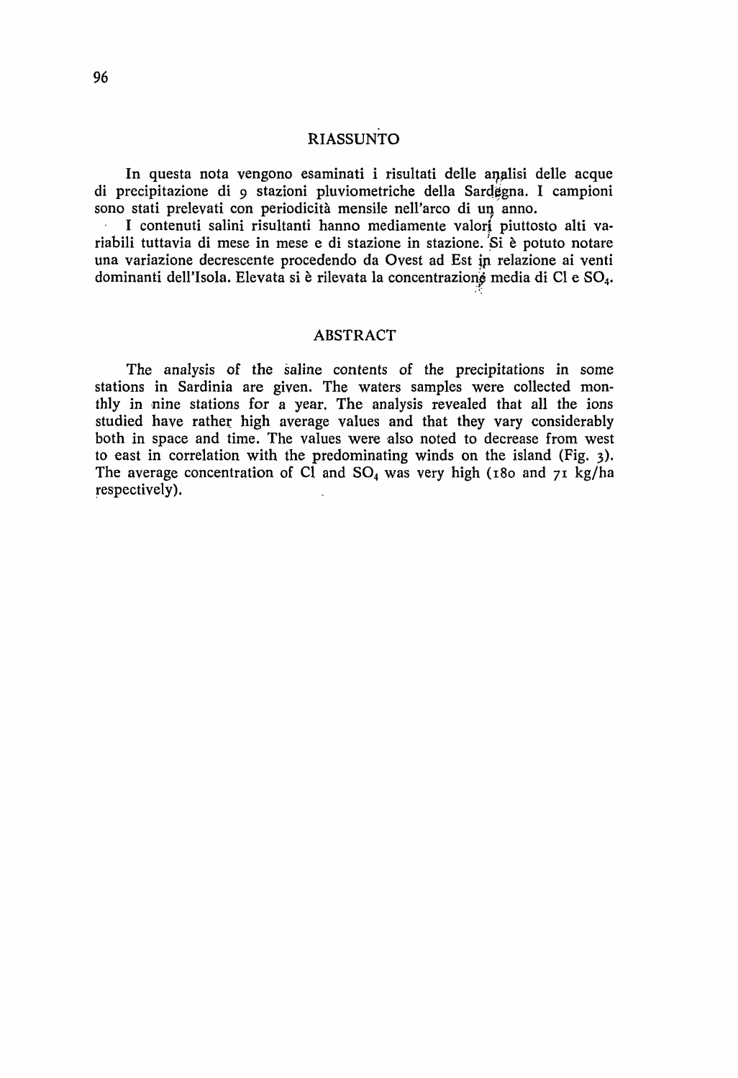# RIASSUNTO

In questa nota vengono esaminati i risultati delle anglisi delle acque di precipitazione di 9 stazioni pluviometriche della Sardgena. I campioni sono stati prelevati con periodicità mensile nell'arco di un anno.

I contenuti salini risultanti hanno mediamente valori piuttosto alti variabili tuttavia di mese in mese e di stazione in stazione. Si è potuto notare una variazione decrescente procedendo da Ovest ad Est in relazione ai venti dominanti dell'Isola. Elevata si è rilevata la concentrazione media di Cl e SO<sub>4</sub>.

#### ABSTRACT

The analysis of the saline contents of the precipitations in some stations in Sardinia are given. The waters samples were collected monthly in nine stations for a year. The analysis revealed that all the ions studied have rather high average values and that they vary considerably both in space and time. The values were also noted to decrease from west to east in correlation with the predominating winds on the island (Fig. 3). The average concentration of Cl and  $SO_4$  was very high (180 and 71 kg/ha respectively).